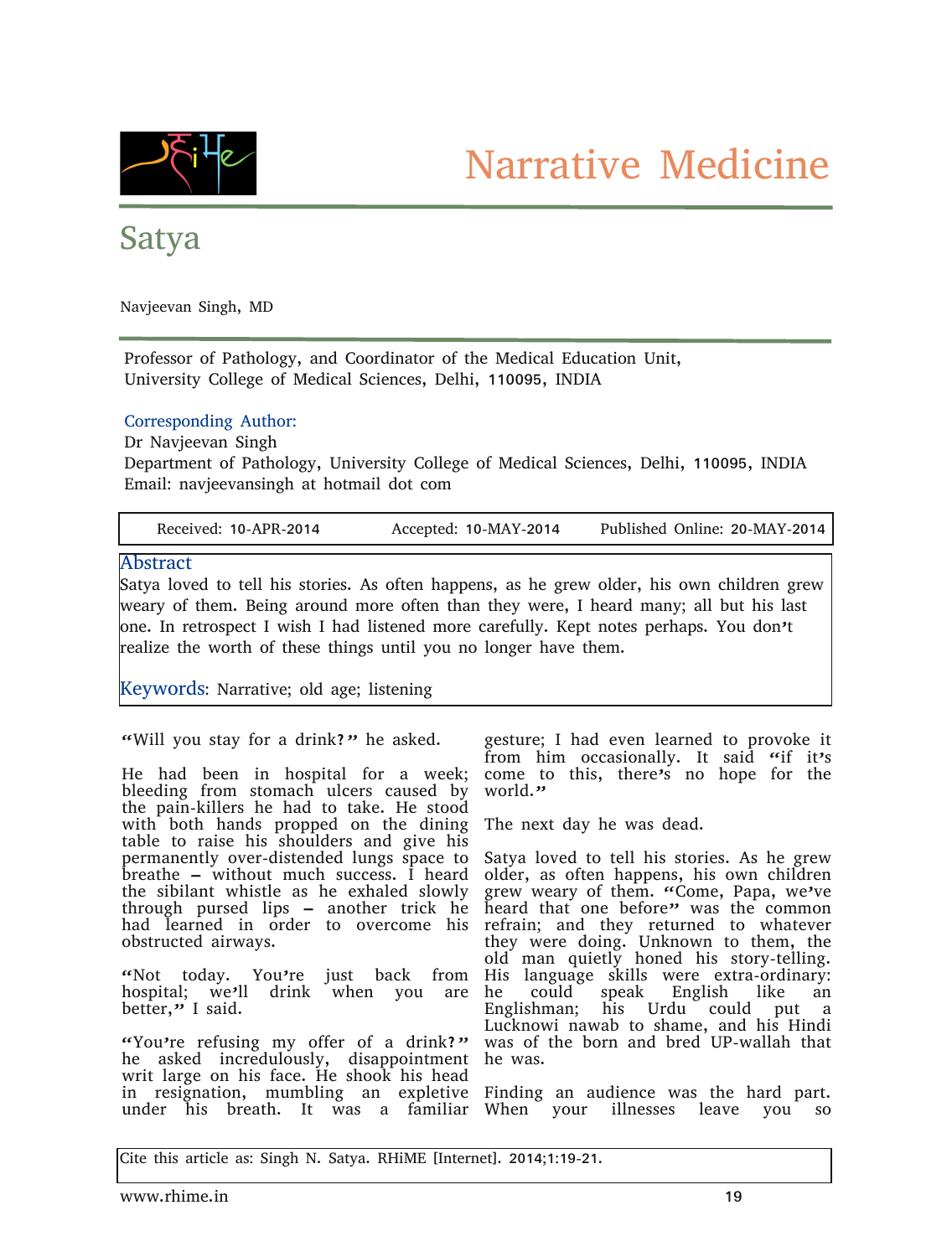

## Satya

Navjeevan Singh, MD

Professor of Pathology, and Coordinator of the Medical Education Unit, University College of Medical Sciences, Delhi, 110095, INDIA

## Corresponding Author:

Dr Navjeevan Singh

Department of Pathology, University College of Medical Sciences, Delhi, 110095, INDIA Email: navjeevansingh at hotmail dot com

| Received: 10-APR-2014 | Accepted: 10-MAY-2014 | Published Online: 20-MAY-2014 |
|-----------------------|-----------------------|-------------------------------|
|                       |                       |                               |

## Abstract

Satya loved to tell his stories. As often happens, as he grew older, his own children grew weary of them. Being around more often than they were, I heard many; all but his last one. In retrospect I wish I had listened more carefully. Kept notes perhaps. You don't realize the worth of these things until you no longer have them.

Keywords: Narrative; old age; listening

"Will you stay for a drink?" he asked.

He had been in hospital for a week; bleeding from stomach ulcers caused by the pain-killers he had to take. He stood with both hands propped on the dining table to raise his shoulders and give his permanently over-distended lungs space to breathe – without much success. I heard the sibilant whistle as he exhaled slowly through pursed lips – another trick he had learned in order to overcome his obstructed airways.

"Not today. You're just hospital; we'll drink when you are better," I said.

"You're refusing my offer of a drink?" he asked incredulously, disappointment writ large on his face. He shook his head in resignation, mumbling an expletive Finding an audience was the hard part. under his breath. It was a familiar When your illnesses leave you so

gesture; I had even learned to provoke it from him occasionally. It said "if it's come to this, there's no hope for the world."

The next day he was dead.

Satya loved to tell his stories. As he grew older, as often happens, his own children grew weary of them. "Come, Papa, we've heard that one before" was the common refrain; and they returned to whatever they were doing. Unknown to them, the old man quietly honed his story-telling. back from His language skills were extra-ordinary: he could speak English like an Englishman; his Urdu could put a Lucknowi nawab to shame, and his Hindi was of the born and bred UP-wallah that he was.

Cite this article as: Singh N. Satya. RHiME [Internet]. 2014;1:19-21.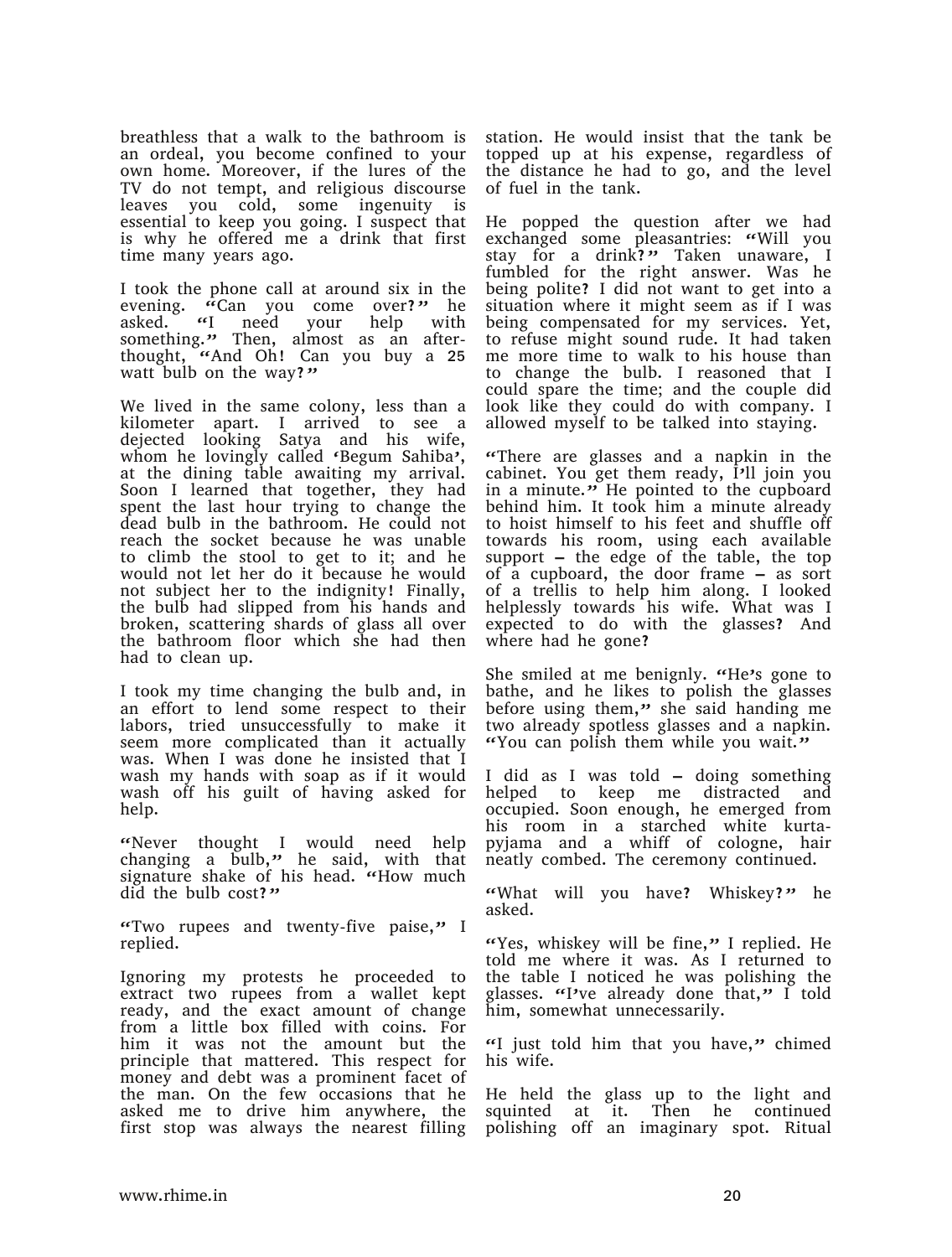breathless that a walk to the bathroom is an ordeal, you become confined to your own home. Moreover, if the lures of the TV do not tempt, and religious discourse leaves you cold, some ingenuity is essential to keep you going. I suspect that is why he offered me a drink that first time many years ago.

I took the phone call at around six in the evening. "Can you come over?" he<br>asked. "I need your help with asked. "I need your help with something." Then, almost as an afterthought, "And Oh! Can you buy a 25 watt bulb on the way?"

We lived in the same colony, less than a kilometer apart. I arrived to see a dejected looking Satya and his wife, whom he lovingly called 'Begum Sahiba', at the dining table awaiting my arrival. Soon I learned that together, they had spent the last hour trying to change the dead bulb in the bathroom. He could not reach the socket because he was unable to climb the stool to get to it; and he would not let her do it because he would not subject her to the indignity! Finally, the bulb had slipped from his hands and broken, scattering shards of glass all over the bathroom floor which she had then had to clean up.

I took my time changing the bulb and, in an effort to lend some respect to their labors, tried unsuccessfully to make it seem more complicated than it actually was. When I was done he insisted that I wash my hands with soap as if it would wash off his guilt of having asked for help.

"Never thought I would need help changing a bulb," he said, with that signature shake of his head. "How much did the bulb cost?"

"Two rupees and twenty-five paise," I replied.

Ignoring my protests he proceeded to extract two rupees from a wallet kept ready, and the exact amount of change from a little box filled with coins. For him it was not the amount but the principle that mattered. This respect for money and debt was a prominent facet of the man. On the few occasions that he asked me to drive him anywhere, the first stop was always the nearest filling

station. He would insist that the tank be topped up at his expense, regardless of the distance he had to go, and the level of fuel in the tank.

He popped the question after we had exchanged some pleasantries: "Will you stay for a drink?" Taken unaware, I fumbled for the right answer. Was he being polite? I did not want to get into a situation where it might seem as if I was being compensated for my services. Yet, to refuse might sound rude. It had taken me more time to walk to his house than to change the bulb. I reasoned that I could spare the time; and the couple did look like they could do with company. I allowed myself to be talked into staying.

"There are glasses and a napkin in the cabinet. You get them ready, I'll join you in a minute. $\ddot{v}$  He pointed to the cupboard behind him. It took him a minute already to hoist himself to his feet and shuffle off towards his room, using each available support – the edge of the table, the top of a cupboard, the door frame – as sort of a trellis to help him along. I looked helplessly towards his wife. What was I expected to do with the glasses? And where had he gone?

She smiled at me benignly. "He's gone to bathe, and he likes to polish the glasses before using them," she said handing me two already spotless glasses and a napkin. "You can polish them while you wait."

I did as I was told – doing something helped to keep me distracted and occupied. Soon enough, he emerged from his room in a starched white kurtapyjama and a whiff of cologne, hair neatly combed. The ceremony continued.

"What will you have? Whiskey?" he asked.

"Yes, whiskey will be fine," I replied. He told me where it was. As I returned to the table I noticed he was polishing the glasses. "I've already done that," I told him, somewhat unnecessarily.

"I just told him that you have," chimed his wife.

He held the glass up to the light and squinted at it. Then he continued polishing off an imaginary spot. Ritual